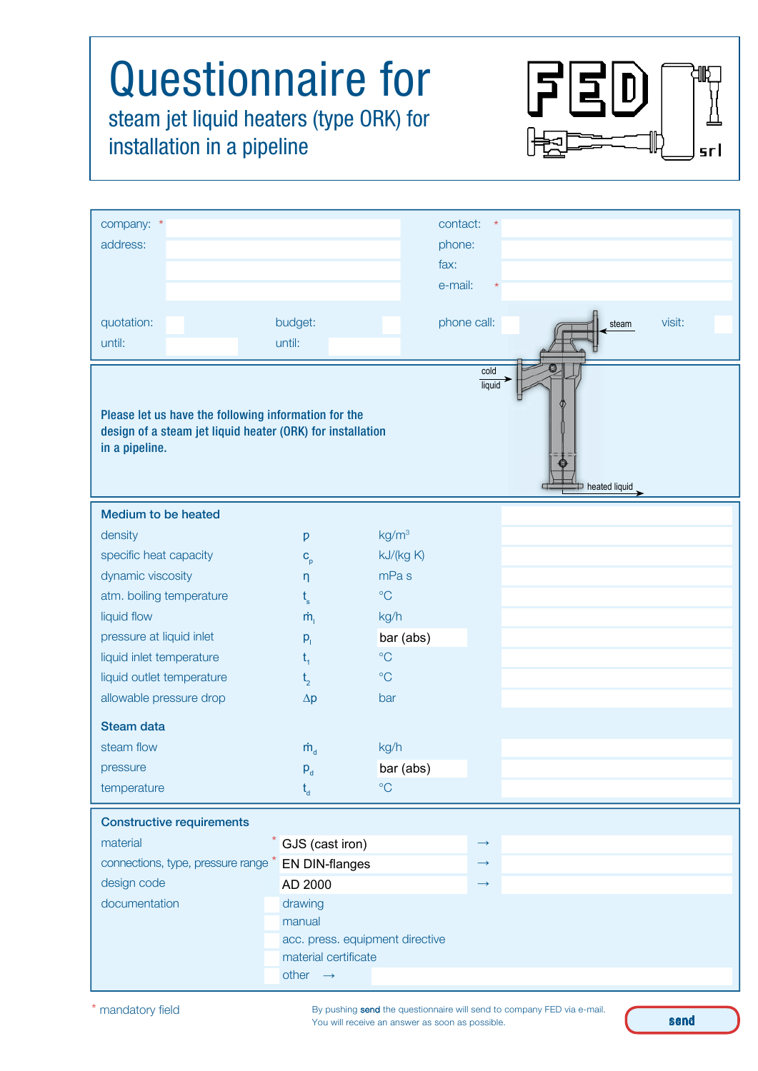## Questionnaire for steam jet liquid heaters (type ORK) for installation in a pipeline

| company: *<br>address:                                                                                                                                                  |                      |                                 | contact:<br>phone:<br>fax:     |
|-------------------------------------------------------------------------------------------------------------------------------------------------------------------------|----------------------|---------------------------------|--------------------------------|
|                                                                                                                                                                         |                      |                                 | e-mail:<br>$\star$             |
| quotation:                                                                                                                                                              | budget:              |                                 | visit:<br>phone call:<br>steam |
| until:                                                                                                                                                                  | until:               |                                 |                                |
| cold<br>liquid<br>Please let us have the following information for the<br>design of a steam jet liquid heater (ORK) for installation<br>in a pipeline.<br>heated liquid |                      |                                 |                                |
| <b>Medium to be heated</b>                                                                                                                                              |                      |                                 |                                |
| density                                                                                                                                                                 | p                    | kg/m <sup>3</sup>               |                                |
| specific heat capacity                                                                                                                                                  | $C_p$                | kJ/(kg K)                       |                                |
| dynamic viscosity                                                                                                                                                       | $\eta$               | mPa <sub>s</sub>                |                                |
| atm. boiling temperature                                                                                                                                                | $t_{\rm s}$          | $\rm ^{\circ}C$                 |                                |
| liquid flow                                                                                                                                                             | $\dot{m}_{i}$        | kg/h                            |                                |
| pressure at liquid inlet                                                                                                                                                | $p_{i}$              | bar (abs)                       |                                |
| liquid inlet temperature                                                                                                                                                | $t_{1}$              | $\rm ^{\circ}C$                 |                                |
| liquid outlet temperature                                                                                                                                               | t <sub>2</sub>       | $\rm ^{\circ}C$                 |                                |
| allowable pressure drop                                                                                                                                                 | $\Delta p$           | bar                             |                                |
| <b>Steam data</b>                                                                                                                                                       |                      |                                 |                                |
| steam flow                                                                                                                                                              | $\dot{m}_{\rm d}$    | kg/h                            |                                |
| pressure                                                                                                                                                                | $P_d$                | bar (abs)                       |                                |
| temperature                                                                                                                                                             | $t_{d}$              | $\rm ^{\circ}C$                 |                                |
| <b>Constructive requirements</b>                                                                                                                                        |                      |                                 |                                |
| material                                                                                                                                                                | $*$ GJS (cast iron)  |                                 | $\longrightarrow$              |
| connections, type, pressure range * EN DIN-flanges                                                                                                                      |                      |                                 | $\longrightarrow$              |
| design code                                                                                                                                                             | AD 2000              |                                 | $\rightarrow$                  |
| documentation                                                                                                                                                           | drawing              |                                 |                                |
|                                                                                                                                                                         | manual               |                                 |                                |
|                                                                                                                                                                         |                      | acc. press. equipment directive |                                |
|                                                                                                                                                                         | material certificate |                                 |                                |
|                                                                                                                                                                         | other $\rightarrow$  |                                 |                                |

F

 $\begin{bmatrix} 1 \\ 0 \end{bmatrix}$ 

srl

By pushing send the questionnaire will send to company FED via e-mail. You will receive an answer as soon as possible.

send